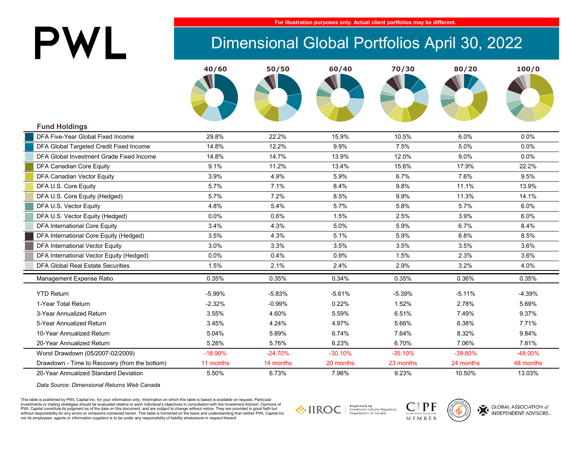# PWL

#### **For illustration purposes only. Actual client portfolios may be different.**

## Dimensional Global Portfolios April 30, 2022

|                                               | 40/60     | 50/50     | 60/40     | 70/30     | 80/20     | 100/0     |
|-----------------------------------------------|-----------|-----------|-----------|-----------|-----------|-----------|
|                                               |           |           |           |           |           |           |
|                                               |           |           |           |           |           |           |
|                                               |           |           |           |           |           |           |
|                                               |           |           |           |           |           |           |
| <b>Fund Holdings</b>                          |           |           |           |           |           |           |
| DFA Five-Year Global Fixed Income             | 29.8%     | 22.2%     | 15.9%     | 10.5%     | 6.0%      | 0.0%      |
| DFA Global Targeted Credit Fixed Income       | 14.8%     | 12.2%     | 9.9%      | 7.5%      | 5.0%      | 0.0%      |
| DFA Global Investment Grade Fixed Income      |           |           |           | 12.0%     | 9.0%      | 0.0%      |
|                                               | 14.8%     | 14.7%     | 13.9%     |           |           |           |
| DFA Canadian Core Equity                      | 9.1%      | 11.2%     | 13.4%     | 15.6%     | 17.9%     | 22.2%     |
| DFA Canadian Vector Equity                    | 3.9%      | 4.9%      | 5.9%      | 6.7%      | 7.6%      | 9.5%      |
| DFA U.S. Core Equity                          | 5.7%      | 7.1%      | 8.4%      | 9.8%      | 11.1%     | 13.9%     |
| DFA U.S. Core Equity (Hedged)                 | 5.7%      | 7.2%      | 8.5%      | 9.9%      | 11.3%     | 14.1%     |
| DFA U.S. Vector Equity                        | 4.8%      | 5.4%      | 5.7%      | 5.8%      | 5.7%      | 6.0%      |
| DFA U.S. Vector Equity (Hedged)               | 0.0%      | 0.6%      | 1.5%      | 2.5%      | 3.9%      | 6.0%      |
| <b>DFA International Core Equity</b>          | 3.4%      | 4.3%      | 5.0%      | 5.9%      | 6.7%      | 8.4%      |
| DFA International Core Equity (Hedged)        | 3.5%      | 4.3%      | 5.1%      | 5.9%      | 6.8%      | 8.5%      |
| <b>DFA International Vector Equity</b>        | 3.0%      | 3.3%      | 3.5%      | 3.5%      | 3.5%      | 3.6%      |
| DFA International Vector Equity (Hedged)      | 0.0%      | 0.4%      | 0.9%      | 1.5%      | 2.3%      | 3.6%      |
| <b>DFA Global Real Estate Securities</b>      | 1.5%      | 2.1%      | 2.4%      | 2.9%      | 3.2%      | 4.0%      |
| Management Expense Ratio                      | 0.35%     | 0.35%     | 0.34%     | 0.35%     | 0.36%     | 0.35%     |
| <b>YTD Return</b>                             | $-5.99%$  | $-5.83%$  | $-5.61%$  | $-5.39%$  | $-5.11%$  | $-4.39%$  |
| 1-Year Total Return                           | $-2.32%$  | $-0.99%$  | 0.22%     | 1.52%     | 2.78%     | 5.69%     |
| 3-Year Annualized Return                      | 3.55%     | 4.60%     | 5.59%     | 6.51%     | 7.49%     | 9.37%     |
| 5-Year Annualized Return                      | 3.45%     | 4.24%     | 4.97%     | 5.66%     | 6.38%     | 7.71%     |
| 10-Year Annualized Return                     | 5.04%     | 5.89%     | 6.74%     | 7.64%     | 8.32%     | 9.84%     |
| 20-Year Annualized Return                     | 5.28%     | 5.76%     | 6.23%     | 6.70%     | 7.06%     | 7.81%     |
| Worst Drawdown (05/2007-02/2009)              | $-18.90%$ | $-24.70%$ | $-30.10%$ | $-35.10%$ | -39.80%   | -48.00%   |
| Drawdown - Time to Recovery (from the bottom) | 11 months | 14 months | 20 months | 23 months | 24 months | 48 months |
| 20-Year Annualized Standard Deviation         | 5.50%     | 6.73%     | 7.96%     | 9.23%     | 10.50%    | 13.03%    |

*Data Source: Dimensional Returns Web Canada*

This table is published by PWL Capital Inc. for your information only. Information on which this table is based is available on request. Particular investments or trading strategies should be evaluated relative to each individual's objectives in consultation with the Investment Advisor. Opinions of PWL Capital constitute its judgment as of the date on this document, and are subject to change without notice. They are provided in good faith but without responsibility for any errors or omissions contained herein. This table is furnished on the basis and understanding that neither PWL Capital Inc. nor its employees, agents or information suppliers is to be under any responsibility of liability whatsoever in respect thereof.







GLOBAL ASSOCIATION of **INDEPENDENT ADVISORS**